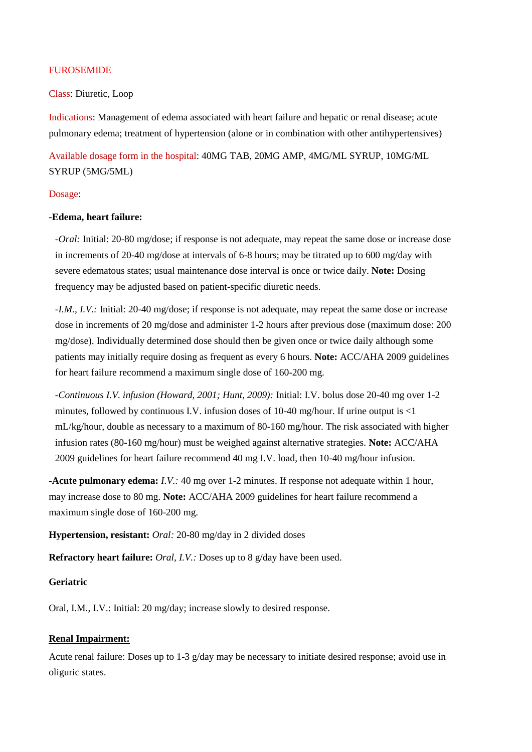### FUROSEMIDE

## Class: Diuretic, Loop

Indications: Management of edema associated with heart failure and hepatic or renal disease; acute pulmonary edema; treatment of hypertension (alone or in combination with other antihypertensives)

Available dosage form in the hospital: 40MG TAB, 20MG AMP, 4MG/ML SYRUP, 10MG/ML SYRUP (5MG/5ML)

#### Dosage:

#### **-Edema, heart failure:**

*-Oral:* Initial: 20-80 mg/dose; if response is not adequate, may repeat the same dose or increase dose in increments of 20-40 mg/dose at intervals of 6-8 hours; may be titrated up to 600 mg/day with severe edematous states; usual maintenance dose interval is once or twice daily. **Note:** Dosing frequency may be adjusted based on patient-specific diuretic needs.

*-I.M., I.V.:* Initial: 20-40 mg/dose; if response is not adequate, may repeat the same dose or increase dose in increments of 20 mg/dose and administer 1-2 hours after previous dose (maximum dose: 200 mg/dose). Individually determined dose should then be given once or twice daily although some patients may initially require dosing as frequent as every 6 hours. **Note:** ACC/AHA 2009 guidelines for heart failure recommend a maximum single dose of 160-200 mg.

*-Continuous I.V. infusion (Howard, 2001; Hunt, 2009):* Initial: I.V. bolus dose 20-40 mg over 1-2 minutes, followed by continuous I.V. infusion doses of 10-40 mg/hour. If urine output is  $\langle 1 \rangle$ mL/kg/hour, double as necessary to a maximum of 80-160 mg/hour. The risk associated with higher infusion rates (80-160 mg/hour) must be weighed against alternative strategies. **Note:** ACC/AHA 2009 guidelines for heart failure recommend 40 mg I.V. load, then 10-40 mg/hour infusion.

**-Acute pulmonary edema:** *I.V.:* 40 mg over 1-2 minutes. If response not adequate within 1 hour, may increase dose to 80 mg. **Note:** ACC/AHA 2009 guidelines for heart failure recommend a maximum single dose of 160-200 mg.

**Hypertension, resistant:** *Oral:* 20-80 mg/day in 2 divided doses

**Refractory heart failure:** *Oral, I.V.:* Doses up to 8 g/day have been used.

### **Geriatric**

Oral, I.M., I.V.: Initial: 20 mg/day; increase slowly to desired response.

# **Renal Impairment:**

Acute renal failure: Doses up to 1-3 g/day may be necessary to initiate desired response; avoid use in oliguric states.